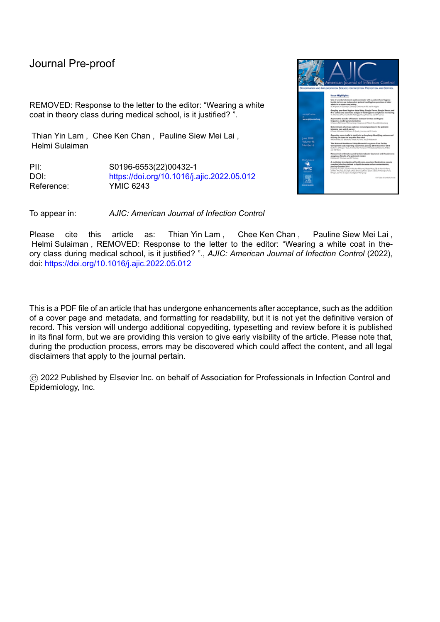## Journal Pre-proof

REMOVED: Response to the letter to the editor: "Wearing a white coat in theory class during medical school, is it justified? ".

Thian Yin Lam , Chee Ken Chan , Pauline Siew Mei Lai , Helmi Sulaiman

PII: S0196-6553(22)00432-1 DOI: <https://doi.org/10.1016/j.ajic.2022.05.012> Reference: YMIC 6243

贾

To appear in: *AJIC: American Journal of Infection Control*

Please cite this article as: Thian Yin Lam , Chee Ken Chan , Pauline Siew Mei Lai , Helmi Sulaiman , REMOVED: Response to the letter to the editor: "Wearing a white coat in theory class during medical school, is it justified? "., *AJIC: American Journal of Infection Control* (2022), doi: <https://doi.org/10.1016/j.ajic.2022.05.012>

This is a PDF file of an article that has undergone enhancements after acceptance, such as the addition of a cover page and metadata, and formatting for readability, but it is not yet the definitive version of record. This version will undergo additional copyediting, typesetting and review before it is published in its final form, but we are providing this version to give early visibility of the article. Please note that, during the production process, errors may be discovered which could affect the content, and all legal disclaimers that apply to the journal pertain.

© 2022 Published by Elsevier Inc. on behalf of Association for Professionals in Infection Control and Epidemiology, Inc.